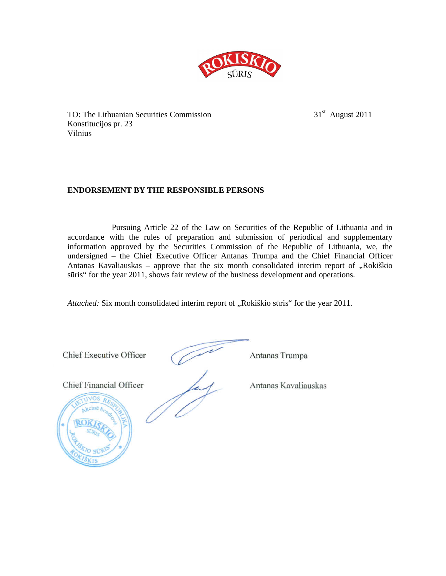

TO: The Lithuanian Securities Commission 31<sup>st</sup> August 2011 Konstitucijos pr. 23 Vilnius

# **ENDORSEMENT BY THE RESPONSIBLE PERSONS**

Pursuing Article 22 of the Law on Securities of the Republic of Lithuania and in accordance with the rules of preparation and submission of periodical and supplementary information approved by the Securities Commission of the Republic of Lithuania, we, the undersigned – the Chief Executive Officer Antanas Trumpa and the Chief Financial Officer Antanas Kavaliauskas - approve that the six month consolidated interim report of "Rokiškio sūris" for the year 2011, shows fair review of the business development and operations.

*Attached:* Six month consolidated interim report of "Rokiškio sūris" for the year 2011.

**Chief Executive Officer** Antanas Trumpa Chief Executive Officer Antanas Trumpa Chief Financial Officer Antanas Kavaliauskas  $\sqrt{10\text{VOS }R}$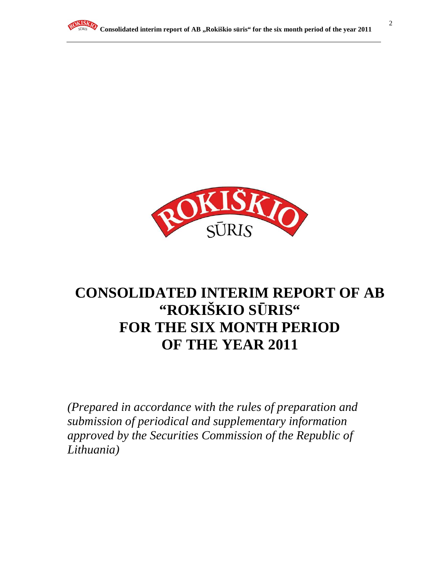

# **CONSOLIDATED INTERIM REPORT OF AB "ROKIŠKIO S**Ū**RIS" FOR THE SIX MONTH PERIOD OF THE YEAR 2011**

*(Prepared in accordance with the rules of preparation and submission of periodical and supplementary information approved by the Securities Commission of the Republic of Lithuania)*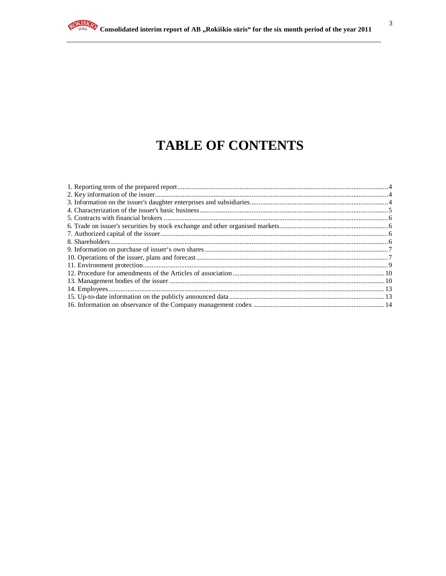# **TABLE OF CONTENTS**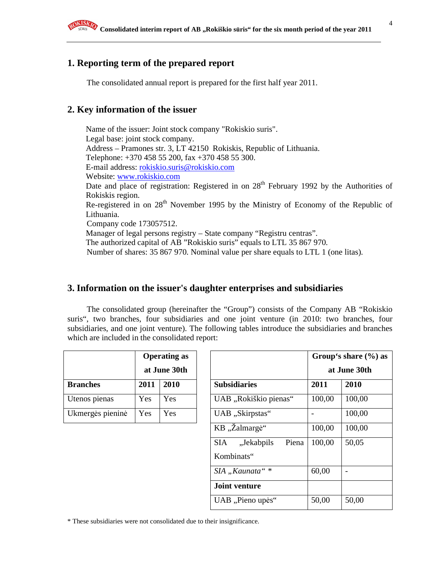# **1. Reporting term of the prepared report**

The consolidated annual report is prepared for the first half year 2011.

# **2. Key information of the issuer**

Name of the issuer: Joint stock company "Rokiskio suris". Legal base: joint stock company. Address – Pramones str. 3, LT 42150 Rokiskis, Republic of Lithuania. Telephone: +370 458 55 200, fax +370 458 55 300. E-mail address: rokiskio.suris@rokiskio.com Website: www.rokiskio.com Date and place of registration: Registered in on 28<sup>th</sup> February 1992 by the Authorities of Rokiskis region. Re-registered in on 28<sup>th</sup> November 1995 by the Ministry of Economy of the Republic of Lithuania. Company code 173057512. Manager of legal persons registry – State company "Registru centras". The authorized capital of AB "Rokiskio suris" equals to LTL 35 867 970. Number of shares: 35 867 970. Nominal value per share equals to LTL 1 (one litas).

# **3. Information on the issuer's daughter enterprises and subsidiaries**

The consolidated group (hereinafter the "Group") consists of the Company AB "Rokiskio suris", two branches, four subsidiaries and one joint venture (in 2010: two branches, four subsidiaries, and one joint venture). The following tables introduce the subsidiaries and branches which are included in the consolidated report:

|                  | <b>Operating as</b> |              |  |
|------------------|---------------------|--------------|--|
|                  |                     | at June 30th |  |
| <b>Branches</b>  | 2011                | 2010         |  |
| Utenos pienas    | Yes                 | Yes          |  |
| Ukmergės pieninė | Yes                 | Yes          |  |

|                  |      | <b>Operating as</b> |                                   |        | Group's share $(\% )$ as |
|------------------|------|---------------------|-----------------------------------|--------|--------------------------|
|                  |      | at June 30th        |                                   |        | at June 30th             |
| <b>Branches</b>  | 2011 | 2010                | <b>Subsidiaries</b>               | 2011   | 2010                     |
| Utenos pienas    | Yes  | Yes                 | UAB "Rokiškio pienas"             | 100,00 | 100,00                   |
| Ukmergės pieninė | Yes  | Yes                 | UAB "Skirpstas"                   |        | 100,00                   |
|                  |      |                     | KB "Žalmargė"                     | 100,00 | 100,00                   |
|                  |      |                     | "Jekabpils<br>Piena<br><b>SIA</b> | 100,00 | 50,05                    |
|                  |      |                     | Kombinats"                        |        |                          |
|                  |      |                     | SIA "Kaunata"*                    | 60,00  |                          |
|                  |      |                     | Joint venture                     |        |                          |
|                  |      |                     | UAB "Pieno upės"                  | 50,00  | 50,00                    |

\* These subsidiaries were not consolidated due to their insignificance.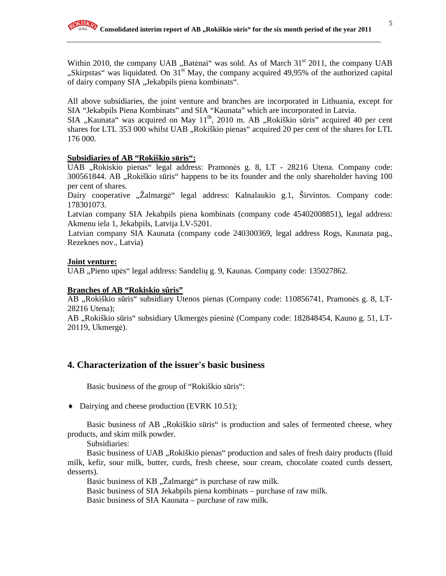Within 2010, the company UAB  $,$ Batėnai" was sold. As of March 31<sup>st</sup> 2011, the company UAB "Skirpstas" was liquidated. On 31<sup>st</sup> May, the company acquired 49,95% of the authorized capital of dairy company SIA "Jekabpils piena kombinats".

All above subsidiaries, the joint venture and branches are incorporated in Lithuania, except for SIA "Jekabpils Piena Kombinats" and SIA "Kaunata" which are incorporated in Latvia.

SIA "Kaunata" was acquired on May  $11<sup>th</sup>$ , 2010 m. AB "Rokiškio sūris" acquired 40 per cent shares for LTL 353 000 whilst UAB "Rokiškio pienas" acquired 20 per cent of the shares for LTL 176 000.

#### **Subsidiaries of AB "Rokiškio s**ū**ris":**

UAB "Rokiskio pienas" legal address: Pramonės g. 8, LT - 28216 Utena. Company code: 300561844. AB "Rokiškio sūris" happens to be its founder and the only shareholder having 100 per cent of shares.

Dairy cooperative "Žalmargė" legal address: Kalnalaukio g.1, Širvintos. Company code: 178301073.

Latvian company SIA Jekabpils piena kombinats (company code 45402008851), legal address: Akmenu iela 1, Jekabpils, Latvija LV-5201.

Latvian company SIA Kaunata (company code 240300369, legal address Rogs, Kaunata pag., Rezeknes nov., Latvia)

#### **Joint venture:**

UAB "Pieno upės" legal address: Sandėlių g. 9, Kaunas. Company code: 135027862.

#### **Branches of AB "Rokiskio sûris"**

AB "Rokiškio sūris" subsidiary Utenos pienas (Company code: 110856741, Pramonės g. 8, LT-28216 Utena);

AB "Rokiškio sūris" subsidiary Ukmergės pieninė (Company code: 182848454, Kauno g. 51, LT-20119, Ukmergė).

# **4. Characterization of the issuer's basic business**

Basic business of the group of "Rokiškio sūris":

♦ Dairying and cheese production (EVRK 10.51);

Basic business of AB "Rokiškio sūris" is production and sales of fermented cheese, whey products, and skim milk powder.

Subsidiaries:

Basic business of UAB "Rokiškio pienas" production and sales of fresh dairy products (fluid milk, kefir, sour milk, butter, curds, fresh cheese, sour cream, chocolate coated curds dessert, desserts).

Basic business of KB "Žalmargė" is purchase of raw milk.

Basic business of SIA Jekabpils piena kombinats – purchase of raw milk.

Basic business of SIA Kaunata – purchase of raw milk.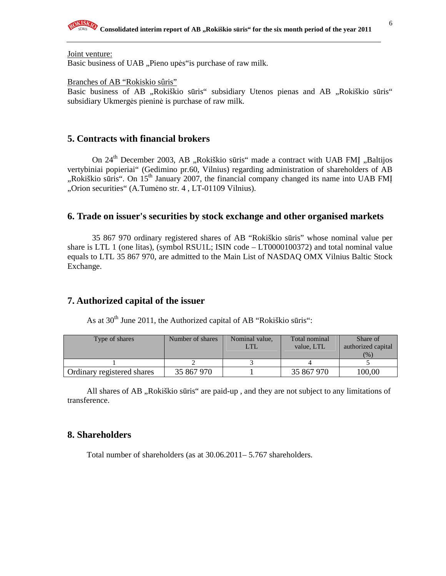#### Joint venture:

Basic business of UAB "Pieno upės" is purchase of raw milk.

#### Branches of AB "Rokiskio sûris"

Basic business of AB "Rokiškio sūris" subsidiary Utenos pienas and AB "Rokiškio sūris" subsidiary Ukmergės pieninė is purchase of raw milk.

## **5. Contracts with financial brokers**

On 24<sup>th</sup> December 2003, AB "Rokiškio sūris" made a contract with UAB FMI "Baltijos vertybiniai popieriai" (Gedimino pr.60, Vilnius) regarding administration of shareholders of AB ",Rokiškio sūris". On  $15<sup>th</sup>$  January 2007, the financial company changed its name into UAB FMI "Orion securities" (A.Tumėno str. 4, LT-01109 Vilnius).

## **6. Trade on issuer's securities by stock exchange and other organised markets**

 35 867 970 ordinary registered shares of AB "Rokiškio sūris" whose nominal value per share is LTL 1 (one litas), (symbol RSU1L; ISIN code – LT0000100372) and total nominal value equals to LTL 35 867 970, are admitted to the Main List of NASDAQ OMX Vilnius Baltic Stock Exchange.

### **7. Authorized capital of the issuer**

As at  $30<sup>th</sup>$  June 2011, the Authorized capital of AB "Rokiškio sūris":

| Type of shares             | Number of shares | Nominal value,<br>LTI. | Total nominal<br>value. LTL | Share of<br>authorized capital<br>(% ) |
|----------------------------|------------------|------------------------|-----------------------------|----------------------------------------|
|                            |                  |                        |                             |                                        |
| Ordinary registered shares | 35 867 970       |                        | 35 867 970                  | 100.00                                 |

All shares of AB, Rokiškio sūris" are paid-up, and they are not subject to any limitations of transference.

# **8. Shareholders**

Total number of shareholders (as at 30.06.2011– 5.767 shareholders.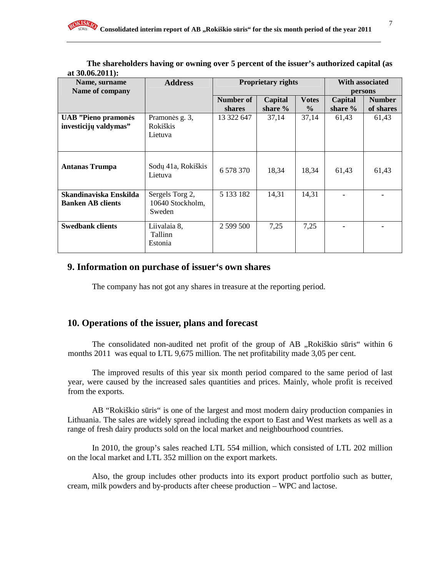| Name, surname<br>Name of company                    | <b>Proprietary rights</b><br><b>Address</b>   |                            |                    |                               |                      |                            |  | <b>With associated</b><br>persons |
|-----------------------------------------------------|-----------------------------------------------|----------------------------|--------------------|-------------------------------|----------------------|----------------------------|--|-----------------------------------|
|                                                     |                                               | Number of<br><b>shares</b> | Capital<br>share % | <b>Votes</b><br>$\frac{0}{0}$ | Capital<br>share $%$ | <b>Number</b><br>of shares |  |                                   |
| <b>UAB</b> "Pieno pramonės<br>investicijų valdymas" | Pramonės g. 3,<br>Rokiškis<br>Lietuva         | 13 322 647                 | 37,14              | 37,14                         | 61,43                | 61,43                      |  |                                   |
| <b>Antanas Trumpa</b>                               | Sodų 41a, Rokiškis<br>Lietuva                 | 6 578 370                  | 18,34              | 18,34                         | 61,43                | 61,43                      |  |                                   |
| Skandinaviska Enskilda<br><b>Banken AB clients</b>  | Sergels Torg 2,<br>10640 Stockholm,<br>Sweden | 5 133 182                  | 14,31              | 14,31                         |                      |                            |  |                                   |
| <b>Swedbank clients</b>                             | Liivalaia 8,<br>Tallinn<br>Estonia            | 2 599 500                  | 7,25               | 7,25                          |                      |                            |  |                                   |

**The shareholders having or owning over 5 percent of the issuer's authorized capital (as at 30.06.2011):** 

# **9. Information on purchase of issuer's own shares**

The company has not got any shares in treasure at the reporting period.

# **10. Operations of the issuer, plans and forecast**

The consolidated non-audited net profit of the group of AB "Rokiškio sūris" within 6 months 2011 was equal to LTL 9,675 million. The net profitability made 3,05 per cent.

The improved results of this year six month period compared to the same period of last year, were caused by the increased sales quantities and prices. Mainly, whole profit is received from the exports.

AB "Rokiškio sūris" is one of the largest and most modern dairy production companies in Lithuania. The sales are widely spread including the export to East and West markets as well as a range of fresh dairy products sold on the local market and neighbourhood countries.

In 2010, the group's sales reached LTL 554 million, which consisted of LTL 202 million on the local market and LTL 352 million on the export markets.

Also, the group includes other products into its export product portfolio such as butter, cream, milk powders and by-products after cheese production – WPC and lactose.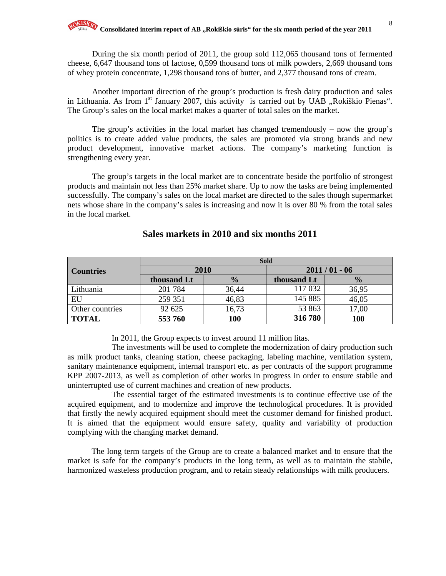During the six month period of 2011, the group sold 112,065 thousand tons of fermented cheese, 6,647 thousand tons of lactose, 0,599 thousand tons of milk powders, 2,669 thousand tons of whey protein concentrate, 1,298 thousand tons of butter, and 2,377 thousand tons of cream.

Another important direction of the group's production is fresh dairy production and sales in Lithuania. As from  $1<sup>st</sup>$  January 2007, this activity is carried out by UAB "Rokiškio Pienas". The Group's sales on the local market makes a quarter of total sales on the market.

The group's activities in the local market has changed tremendously – now the group's politics is to create added value products, the sales are promoted via strong brands and new product development, innovative market actions. The company's marketing function is strengthening every year.

The group's targets in the local market are to concentrate beside the portfolio of strongest products and maintain not less than 25% market share. Up to now the tasks are being implemented successfully. The company's sales on the local market are directed to the sales though supermarket nets whose share in the company's sales is increasing and now it is over 80 % from the total sales in the local market.

|                  | <b>Sold</b> |               |             |                |  |
|------------------|-------------|---------------|-------------|----------------|--|
| <b>Countries</b> | 2010        |               |             | $2011/01 - 06$ |  |
|                  | thousand Lt | $\frac{0}{0}$ | thousand Lt | $\frac{1}{2}$  |  |
| Lithuania        | 201 784     | 36,44         | 117 032     | 36,95          |  |
| EU               | 259 351     | 46,83         | 145 885     | 46,05          |  |
| Other countries  | 92 625      | 16,73         | 53 863      | 17,00          |  |
| <b>TOTAL</b>     | 553 760     | 100           | 316 780     | 100            |  |

### **Sales markets in 2010 and six months 2011**

In 2011, the Group expects to invest around 11 million litas.

The investments will be used to complete the modernization of dairy production such as milk product tanks, cleaning station, cheese packaging, labeling machine, ventilation system, sanitary maintenance equipment, internal transport etc. as per contracts of the support programme KPP 2007-2013, as well as completion of other works in progress in order to ensure stabile and uninterrupted use of current machines and creation of new products.

The essential target of the estimated investments is to continue effective use of the acquired equipment, and to modernize and improve the technological procedures. It is provided that firstly the newly acquired equipment should meet the customer demand for finished product. It is aimed that the equipment would ensure safety, quality and variability of production complying with the changing market demand.

The long term targets of the Group are to create a balanced market and to ensure that the market is safe for the company's products in the long term, as well as to maintain the stabile, harmonized wasteless production program, and to retain steady relationships with milk producers.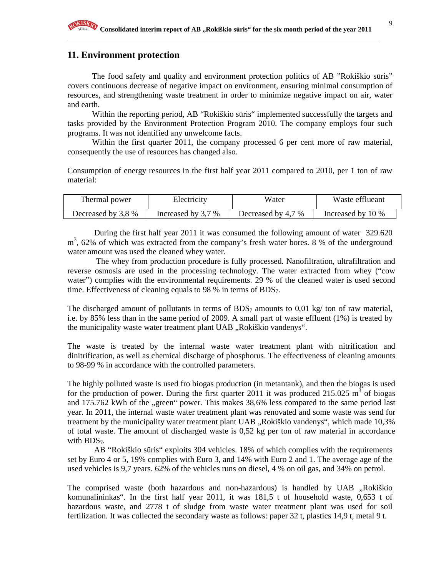# **11. Environment protection**

The food safety and quality and environment protection politics of AB "Rokiškio sūris" covers continuous decrease of negative impact on environment, ensuring minimal consumption of resources, and strengthening waste treatment in order to minimize negative impact on air, water and earth.

Within the reporting period, AB "Rokiškio sūris" implemented successfully the targets and tasks provided by the Environment Protection Program 2010. The company employs four such programs. It was not identified any unwelcome facts.

Within the first quarter 2011, the company processed 6 per cent more of raw material, consequently the use of resources has changed also.

Consumption of energy resources in the first half year 2011 compared to 2010, per 1 ton of raw material:

| Thermal power      | Electricity        | Water              | Waste efflueant   |
|--------------------|--------------------|--------------------|-------------------|
| Decreased by 3,8 % | Increased by 3,7 % | Decreased by 4,7 % | Increased by 10 % |

 During the first half year 2011 it was consumed the following amount of water 329.620 m<sup>3</sup>, 62% of which was extracted from the company's fresh water bores. 8 % of the underground water amount was used the cleaned whey water.

 The whey from production procedure is fully processed. Nanofiltration, ultrafiltration and reverse osmosis are used in the processing technology. The water extracted from whey ("cow water") complies with the environmental requirements. 29 % of the cleaned water is used second time. Effectiveness of cleaning equals to 98 % in terms of  $BDS<sub>7</sub>$ .

The discharged amount of pollutants in terms of BDS<sub>7</sub> amounts to 0,01 kg/ ton of raw material, i.e. by 85% less than in the same period of 2009. A small part of waste effluent (1%) is treated by the municipality waste water treatment plant UAB "Rokiškio vandenys".

The waste is treated by the internal waste water treatment plant with nitrification and dinitrification, as well as chemical discharge of phosphorus. The effectiveness of cleaning amounts to 98-99 % in accordance with the controlled parameters.

The highly polluted waste is used fro biogas production (in metantank), and then the biogas is used for the production of power. During the first quarter 2011 it was produced 215.025  $\text{m}^3$  of biogas and 175.762 kWh of the "green" power. This makes 38,6% less compared to the same period last year. In 2011, the internal waste water treatment plant was renovated and some waste was send for treatment by the municipality water treatment plant UAB "Rokiškio vandenys", which made 10,3% of total waste. The amount of discharged waste is 0,52 kg per ton of raw material in accordance with  $BDS<sub>7</sub>$ .

 AB "Rokiškio sūris" exploits 304 vehicles. 18% of which complies with the requirements set by Euro 4 or 5, 19% complies with Euro 3, and 14% with Euro 2 and 1. The average age of the used vehicles is 9,7 years. 62% of the vehicles runs on diesel, 4 % on oil gas, and 34% on petrol.

The comprised waste (both hazardous and non-hazardous) is handled by UAB ,,Rokiškio komunalininkas". In the first half year 2011, it was 181,5 t of household waste, 0,653 t of hazardous waste, and 2778 t of sludge from waste water treatment plant was used for soil fertilization. It was collected the secondary waste as follows: paper 32 t, plastics 14,9 t, metal 9 t.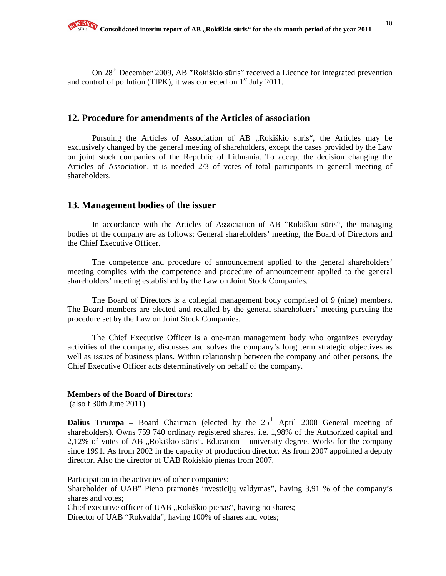On 28th December 2009, AB "Rokiškio sūris" received a Licence for integrated prevention and control of pollution (TIPK), it was corrected on  $1<sup>st</sup>$  July 2011.

# **12. Procedure for amendments of the Articles of association**

Pursuing the Articles of Association of AB "Rokiškio sūris", the Articles may be exclusively changed by the general meeting of shareholders, except the cases provided by the Law on joint stock companies of the Republic of Lithuania. To accept the decision changing the Articles of Association, it is needed 2/3 of votes of total participants in general meeting of shareholders.

### **13. Management bodies of the issuer**

In accordance with the Articles of Association of AB "Rokiškio sūris", the managing bodies of the company are as follows: General shareholders' meeting, the Board of Directors and the Chief Executive Officer.

The competence and procedure of announcement applied to the general shareholders' meeting complies with the competence and procedure of announcement applied to the general shareholders' meeting established by the Law on Joint Stock Companies.

The Board of Directors is a collegial management body comprised of 9 (nine) members. The Board members are elected and recalled by the general shareholders' meeting pursuing the procedure set by the Law on Joint Stock Companies.

The Chief Executive Officer is a one-man management body who organizes everyday activities of the company, discusses and solves the company's long term strategic objectives as well as issues of business plans. Within relationship between the company and other persons, the Chief Executive Officer acts determinatively on behalf of the company.

#### **Members of the Board of Directors**:

(also f 30th June 2011)

**Dalius Trumpa** – Board Chairman (elected by the  $25<sup>th</sup>$  April 2008 General meeting of shareholders). Owns 759 740 ordinary registered shares. i.e. 1,98% of the Authorized capital and 2,12% of votes of AB "Rokiškio sūris". Education – university degree. Works for the company since 1991. As from 2002 in the capacity of production director. As from 2007 appointed a deputy director. Also the director of UAB Rokiskio pienas from 2007.

Participation in the activities of other companies:

Shareholder of UAB" Pieno pramonės investicijų valdymas", having 3,91 % of the company's shares and votes;

Chief executive officer of UAB ,,Rokiškio pienas", having no shares;

Director of UAB "Rokvalda", having 100% of shares and votes;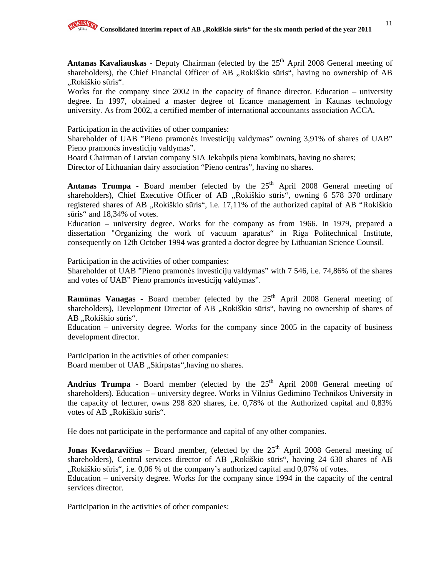Antanas Kavaliauskas - Deputy Chairman (elected by the 25<sup>th</sup> April 2008 General meeting of shareholders), the Chief Financial Officer of AB "Rokiškio sūris", having no ownership of AB "Rokiškio sūris".

Works for the company since 2002 in the capacity of finance director. Education – university degree. In 1997, obtained a master degree of ficance management in Kaunas technology university. As from 2002, a certified member of international accountants association ACCA.

Participation in the activities of other companies:

Shareholder of UAB "Pieno pramonės investicijų valdymas" owning 3,91% of shares of UAB" Pieno pramonės investicijų valdymas".

Board Chairman of Latvian company SIA Jekabpils piena kombinats, having no shares;

Director of Lithuanian dairy association "Pieno centras", having no shares.

**Antanas Trumpa -** Board member (elected by the  $25<sup>th</sup>$  April 2008 General meeting of shareholders), Chief Executive Officer of AB "Rokiškio sūris", owning 6 578 370 ordinary registered shares of AB ..Rokiškio sūris", i.e. 17,11% of the authorized capital of AB "Rokiškio" sūris" and 18,34% of votes.

Education – university degree. Works for the company as from 1966. In 1979, prepared a dissertation "Organizing the work of vacuum aparatus" in Riga Politechnical Institute, consequently on 12th October 1994 was granted a doctor degree by Lithuanian Science Counsil.

Participation in the activities of other companies:

Shareholder of UAB "Pieno pramonės investicijų valdymas" with 7 546, i.e. 74,86% of the shares and votes of UAB" Pieno pramonės investicijų valdymas".

**Ramūnas Vanagas -** Board member (elected by the 25<sup>th</sup> April 2008 General meeting of shareholders), Development Director of AB "Rokiškio sūris", having no ownership of shares of AB "Rokiškio sūris".

Education – university degree. Works for the company since 2005 in the capacity of business development director.

Participation in the activities of other companies: Board member of UAB "Skirpstas",having no shares.

**Andrius Trumpa** - Board member (elected by the  $25<sup>th</sup>$  April 2008 General meeting of shareholders). Education – university degree. Works in Vilnius Gedimino Technikos University in the capacity of lecturer, owns 298 820 shares, i.e. 0,78% of the Authorized capital and 0,83% votes of AB "Rokiškio sūris".

He does not participate in the performance and capital of any other companies.

**Jonas Kvedaravičius** – Board member, (elected by the 25<sup>th</sup> April 2008 General meeting of shareholders), Central services director of AB "Rokiškio sūris", having 24 630 shares of AB  $R$ , Rokiškio sūris", i.e. 0,06 % of the company's authorized capital and 0,07% of votes.

Education – university degree. Works for the company since 1994 in the capacity of the central services director.

Participation in the activities of other companies: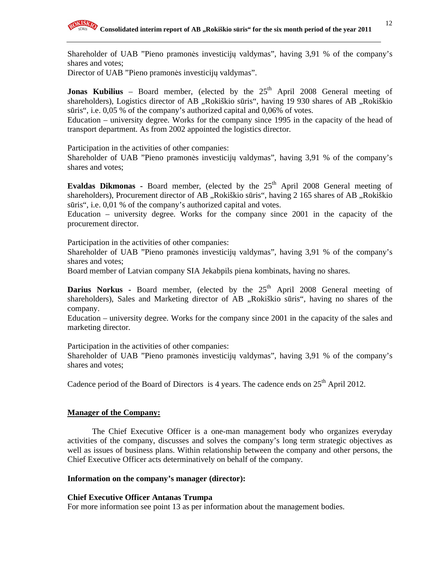Shareholder of UAB "Pieno pramonės investicijų valdymas", having 3,91 % of the company's shares and votes;

Director of UAB "Pieno pramonės investicijų valdymas".

**Jonas Kubilius** – Board member, (elected by the  $25<sup>th</sup>$  April 2008 General meeting of shareholders), Logistics director of AB "Rokiškio sūris", having 19 930 shares of AB "Rokiškio sūris", i.e. 0,05 % of the company's authorized capital and 0,06% of votes.

Education – university degree. Works for the company since 1995 in the capacity of the head of transport department. As from 2002 appointed the logistics director.

Participation in the activities of other companies:

Shareholder of UAB "Pieno pramonės investicijų valdymas", having 3,91 % of the company's shares and votes;

**Evaldas Dikmonas -** Board member, (elected by the 25<sup>th</sup> April 2008 General meeting of shareholders), Procurement director of AB "Rokiškio sūris", having 2 165 shares of AB "Rokiškio sūris", i.e. 0,01 % of the company's authorized capital and votes.

Education – university degree. Works for the company since 2001 in the capacity of the procurement director.

Participation in the activities of other companies:

Shareholder of UAB "Pieno pramonės investicijų valdymas", having 3,91 % of the company's shares and votes;

Board member of Latvian company SIA Jekabpils piena kombinats, having no shares.

**Darius Norkus -** Board member, (elected by the 25<sup>th</sup> April 2008 General meeting of shareholders), Sales and Marketing director of AB "Rokiškio sūris", having no shares of the company.

Education – university degree. Works for the company since 2001 in the capacity of the sales and marketing director.

Participation in the activities of other companies:

Shareholder of UAB "Pieno pramonės investicijų valdymas", having 3,91 % of the company's shares and votes;

Cadence period of the Board of Directors is 4 years. The cadence ends on  $25<sup>th</sup>$  April 2012.

# **Manager of the Company:**

The Chief Executive Officer is a one-man management body who organizes everyday activities of the company, discusses and solves the company's long term strategic objectives as well as issues of business plans. Within relationship between the company and other persons, the Chief Executive Officer acts determinatively on behalf of the company.

# **Information on the company's manager (director):**

#### **Chief Executive Officer Antanas Trumpa**

For more information see point 13 as per information about the management bodies.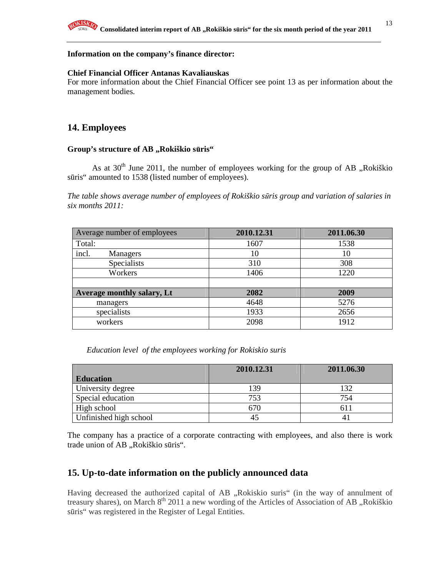#### **Information on the company's finance director:**

#### **Chief Financial Officer Antanas Kavaliauskas**

For more information about the Chief Financial Officer see point 13 as per information about the management bodies.

# **14. Employees**

#### Group's structure of AB ,,Rokiškio sūris"

As at  $30<sup>th</sup>$  June 2011, the number of employees working for the group of AB ,,Rokiškio sūris" amounted to 1538 (listed number of employees).

*The table shows average number of employees of Rokiškio s*ū*ris group and variation of salaries in six months 2011:* 

| Average number of employees | 2010.12.31 | 2011.06.30 |
|-----------------------------|------------|------------|
| Total:                      | 1607       | 1538       |
| incl.<br>Managers           | 10         | 10         |
| Specialists                 | 310        | 308        |
| Workers                     | 1406       | 1220       |
|                             |            |            |
| Average monthly salary, Lt  | 2082       | 2009       |
| managers                    | 4648       | 5276       |
| specialists                 | 1933       | 2656       |
| workers                     | 2098       | 1912       |

*Education level of the employees working for Rokiskio suris* 

|                        | 2010.12.31 | 2011.06.30 |
|------------------------|------------|------------|
| <b>Education</b>       |            |            |
| University degree      | 139        | 132        |
| Special education      | 753        | 754        |
| High school            | 670        | 611        |
| Unfinished high school |            |            |

The company has a practice of a corporate contracting with employees, and also there is work trade union of AB "Rokiškio sūris".

# **15. Up-to-date information on the publicly announced data**

Having decreased the authorized capital of AB "Rokiskio suris" (in the way of annulment of treasury shares), on March  $8<sup>th</sup>$  2011 a new wording of the Articles of Association of AB "Rokiškio sūris" was registered in the Register of Legal Entities.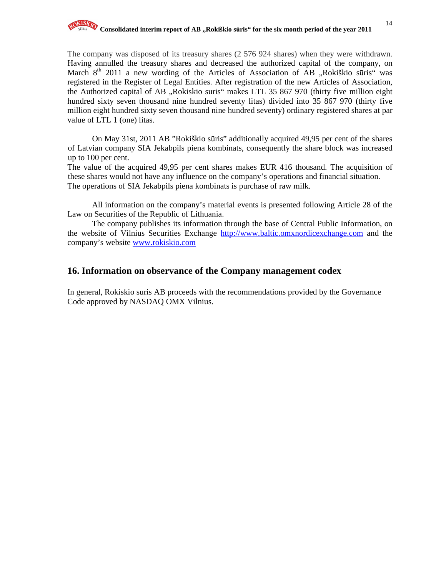The company was disposed of its treasury shares (2 576 924 shares) when they were withdrawn. Having annulled the treasury shares and decreased the authorized capital of the company, on March  $8<sup>th</sup>$  2011 a new wording of the Articles of Association of  $\overline{AB}$  , Rokiškio sūris" was registered in the Register of Legal Entities. After registration of the new Articles of Association, the Authorized capital of AB "Rokiskio suris" makes LTL 35 867 970 (thirty five million eight hundred sixty seven thousand nine hundred seventy litas) divided into 35 867 970 (thirty five million eight hundred sixty seven thousand nine hundred seventy) ordinary registered shares at par value of LTL 1 (one) litas.

On May 31st, 2011 AB "Rokiškio sūris" additionally acquired 49,95 per cent of the shares of Latvian company SIA Jekabpils piena kombinats, consequently the share block was increased up to 100 per cent.

The value of the acquired 49,95 per cent shares makes EUR 416 thousand. The acquisition of these shares would not have any influence on the company's operations and financial situation. The operations of SIA Jekabpils piena kombinats is purchase of raw milk.

All information on the company's material events is presented following Article 28 of the Law on Securities of the Republic of Lithuania.

The company publishes its information through the base of Central Public Information, on the website of Vilnius Securities Exchange http://www.baltic.omxnordicexchange.com and the company's website www.rokiskio.com

# **16. Information on observance of the Company management codex**

In general, Rokiskio suris AB proceeds with the recommendations provided by the Governance Code approved by NASDAQ OMX Vilnius.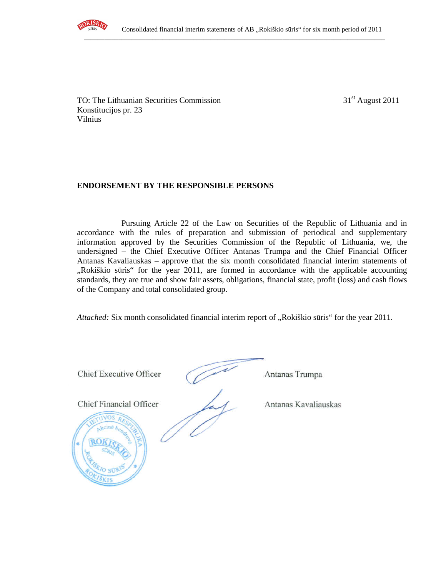

TO: The Lithuanian Securities Commission  $31<sup>st</sup>$  August 2011 Konstitucijos pr. 23 Vilnius

# **ENDORSEMENT BY THE RESPONSIBLE PERSONS**

Pursuing Article 22 of the Law on Securities of the Republic of Lithuania and in accordance with the rules of preparation and submission of periodical and supplementary information approved by the Securities Commission of the Republic of Lithuania, we, the undersigned – the Chief Executive Officer Antanas Trumpa and the Chief Financial Officer Antanas Kavaliauskas – approve that the six month consolidated financial interim statements of "Rokiškio sūris" for the year 2011, are formed in accordance with the applicable accounting standards, they are true and show fair assets, obligations, financial state, profit (loss) and cash flows of the Company and total consolidated group.

*Attached:* Six month consolidated financial interim report of "Rokiškio sūris" for the year 2011.



Antanas Trumpa

Antanas Kavaliauskas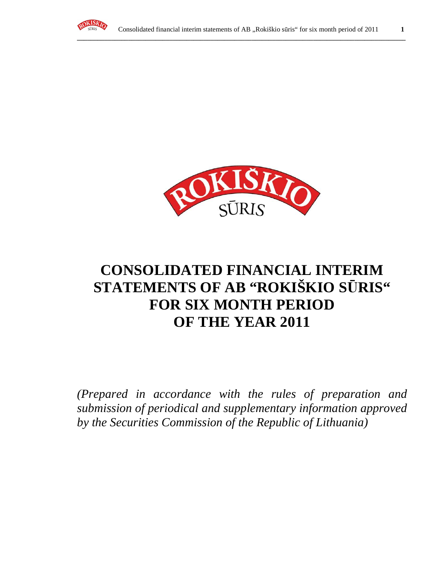



# **CONSOLIDATED FINANCIAL INTERIM STATEMENTS OF AB "ROKIŠKIO S**Ū**RIS" FOR SIX MONTH PERIOD OF THE YEAR 2011**

*(Prepared in accordance with the rules of preparation and submission of periodical and supplementary information approved by the Securities Commission of the Republic of Lithuania)*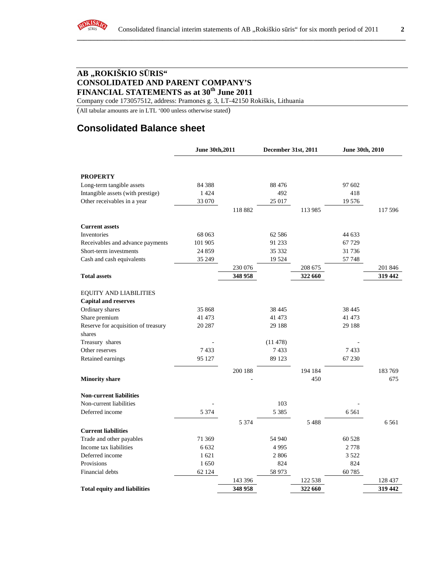

# **AB "ROKIŠKIO S**Ū**RIS" CONSOLIDATED AND PARENT COMPANY'S FINANCIAL STATEMENTS as at 30th June 2011**

Company code 173057512, address: Pramonės g. 3, LT-42150 Rokiškis, Lithuania

(All tabular amounts are in LTL '000 unless otherwise stated)

# **Consolidated Balance sheet**

|                                     | June 30th, 2011 |         | December 31st, 2011 |         | June 30th, 2010 |         |
|-------------------------------------|-----------------|---------|---------------------|---------|-----------------|---------|
|                                     |                 |         |                     |         |                 |         |
| <b>PROPERTY</b>                     |                 |         |                     |         |                 |         |
| Long-term tangible assets           | 84 3 88         |         | 88 4 7 6            |         | 97 602          |         |
| Intangible assets (with prestige)   | 1 4 2 4         |         | 492                 |         | 418             |         |
| Other receivables in a year         | 33 070          |         | 25 017              |         | 19 576          |         |
|                                     |                 | 118 882 |                     | 113 985 |                 | 117 596 |
| <b>Current assets</b>               |                 |         |                     |         |                 |         |
| Inventories                         | 68 063          |         | 62 5 8 6            |         | 44 633          |         |
| Receivables and advance payments    | 101 905         |         | 91 233              |         | 67 729          |         |
| Short-term investments              | 24 859          |         | 35 332              |         | 31 736          |         |
| Cash and cash equivalents           | 35 249          |         | 19 5 24             |         | 57 748          |         |
|                                     |                 | 230 076 |                     | 208 675 |                 | 201 846 |
| <b>Total assets</b>                 |                 | 348 958 |                     | 322 660 |                 | 319 442 |
| <b>EQUITY AND LIABILITIES</b>       |                 |         |                     |         |                 |         |
| <b>Capital and reserves</b>         |                 |         |                     |         |                 |         |
| Ordinary shares                     | 35 868          |         | 38 4 45             |         | 38 4 45         |         |
| Share premium                       | 41 473          |         | 41 473              |         | 41 473          |         |
| Reserve for acquisition of treasury | 20 287          |         | 29 188              |         | 29 188          |         |
| shares                              |                 |         |                     |         |                 |         |
| Treasury shares                     |                 |         | (11478)             |         |                 |         |
| Other reserves                      | 7433            |         | 7433                |         | 7433            |         |
| Retained earnings                   | 95 127          |         | 89 1 23             |         | 67 230          |         |
|                                     |                 | 200 188 |                     | 194 184 |                 | 183769  |
| <b>Minority share</b>               |                 |         |                     | 450     |                 | 675     |
| <b>Non-current liabilities</b>      |                 |         |                     |         |                 |         |
| Non-current liabilities             |                 |         | 103                 |         |                 |         |
| Deferred income                     | 5 3 7 4         |         | 5 3 8 5             |         | 6 5 6 1         |         |
|                                     |                 | 5 3 7 4 |                     | 5488    |                 | 6561    |
| <b>Current liabilities</b>          |                 |         |                     |         |                 |         |
| Trade and other payables            | 71 369          |         | 54 940              |         | 60 528          |         |
| Income tax liabilities              | 6 6 3 2         |         | 4995                |         | 2 7 7 8         |         |
| Deferred income                     | 1621            |         | 2806                |         | 3 5 2 2         |         |
| Provisions                          | 1650            |         | 824                 |         | 824             |         |
| Financial debts                     | 62 124          |         | 58 973              |         | 60 785          |         |
|                                     |                 | 143 396 |                     | 122 538 |                 | 128 437 |
| <b>Total equity and liabilities</b> |                 | 348 958 |                     | 322 660 |                 | 319 442 |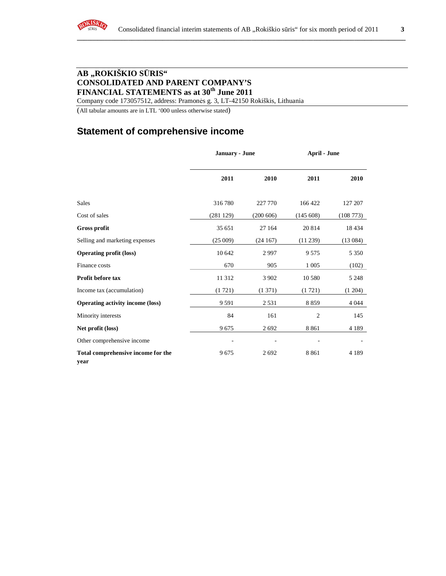

# **AB "ROKIŠKIO S**Ū**RIS" CONSOLIDATED AND PARENT COMPANY'S FINANCIAL STATEMENTS as at 30th June 2011**

Company code 173057512, address: Pramonės g. 3, LT-42150 Rokiškis, Lithuania

(All tabular amounts are in LTL '000 unless otherwise stated)

# **Statement of comprehensive income**

|                                            | January - June |           | <b>April - June</b> |          |
|--------------------------------------------|----------------|-----------|---------------------|----------|
|                                            | 2011           | 2010      | 2011                | 2010     |
| <b>Sales</b>                               | 316780         | 227 770   | 166 422             | 127 207  |
| Cost of sales                              | (281129)       | (200 606) | (145608)            | (108773) |
| <b>Gross profit</b>                        | 35 651         | 27 164    | 20 814              | 18 4 34  |
| Selling and marketing expenses             | (25009)        | (24167)   | (11 239)            | (13084)  |
| <b>Operating profit (loss)</b>             | 10 642         | 2997      | 9 5 7 5             | 5 3 5 0  |
| Finance costs                              | 670            | 905       | 1 0 0 5             | (102)    |
| Profit before tax                          | 11 312         | 3 9 0 2   | 10 5 80             | 5 2 4 8  |
| Income tax (accumulation)                  | (1721)         | (1371)    | (1721)              | (1204)   |
| <b>Operating activity income (loss)</b>    | 9 5 9 1        | 2 5 3 1   | 8859                | 4 0 4 4  |
| Minority interests                         | 84             | 161       | $\overline{2}$      | 145      |
| Net profit (loss)                          | 9675           | 2692      | 8 8 6 1             | 4 1 8 9  |
| Other comprehensive income                 |                |           |                     |          |
| Total comprehensive income for the<br>year | 9675           | 2692      | 8 8 6 1             | 4 1 8 9  |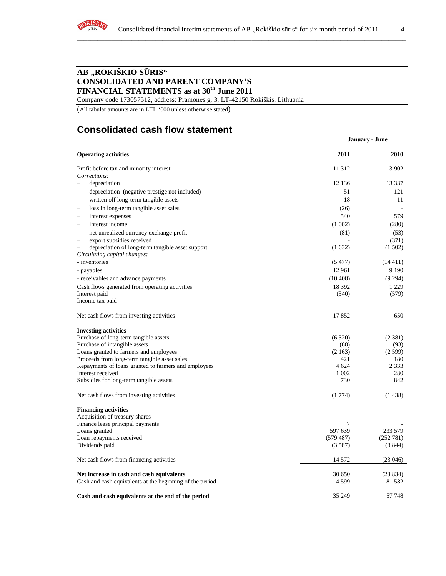

# **AB "ROKIŠKIO S**Ū**RIS" CONSOLIDATED AND PARENT COMPANY'S FINANCIAL STATEMENTS as at 30th June 2011**

Company code 173057512, address: Pramonės g. 3, LT-42150 Rokiškis, Lithuania

(All tabular amounts are in LTL '000 unless otherwise stated)

# **Consolidated cash flow statement**

|                                                                                                              |           | <b>January - June</b> |
|--------------------------------------------------------------------------------------------------------------|-----------|-----------------------|
| <b>Operating activities</b>                                                                                  | 2011      | 2010                  |
| Profit before tax and minority interest                                                                      | 11 3 12   | 3 902                 |
| Corrections:                                                                                                 |           |                       |
| depreciation<br>÷                                                                                            | 12 136    | 13 3 3 7              |
| depreciation (negative prestige not included)<br>$\overline{\phantom{0}}$                                    | 51        | 121                   |
| written off long-term tangible assets<br>$\overline{\phantom{a}}$                                            | 18        | 11                    |
| loss in long-term tangible asset sales                                                                       | (26)      |                       |
| interest expenses<br>$\overline{\phantom{a}}$                                                                | 540       | 579                   |
| interest income<br>$\overline{\phantom{a}}$                                                                  | (1002)    | (280)                 |
| net unrealized currency exchange profit<br>$\overline{\phantom{0}}$                                          | (81)      | (53)                  |
| export subsidies received<br>$\overline{\phantom{0}}$                                                        |           | (371)                 |
| depreciation of long-term tangible asset support<br>$\overline{\phantom{0}}$<br>Circulating capital changes: | (1632)    | (1502)                |
| - inventories                                                                                                | (5477)    | (14411)               |
| - payables                                                                                                   | 12 961    | 9 1 9 0               |
| - receivables and advance payments                                                                           | (10408)   | (9294)                |
| Cash flows generated from operating activities                                                               | 18 392    | 1 2 2 9               |
| Interest paid                                                                                                | (540)     | (579)                 |
| Income tax paid                                                                                              |           |                       |
| Net cash flows from investing activities                                                                     | 17852     | 650                   |
| <b>Investing activities</b>                                                                                  |           |                       |
| Purchase of long-term tangible assets                                                                        | (6320)    | (2381)                |
| Purchase of intangible assets                                                                                | (68)      | (93)                  |
| Loans granted to farmers and employees                                                                       | (2163)    | (2599)                |
| Proceeds from long-term tangible asset sales                                                                 | 421       | 180                   |
| Repayments of loans granted to farmers and employees                                                         | 4 624     | 2 3 3 3               |
| Interest received                                                                                            | 1 0 0 2   | 280                   |
| Subsidies for long-term tangible assets                                                                      | 730       | 842                   |
| Net cash flows from investing activities                                                                     | (1774)    | (1438)                |
| <b>Financing activities</b>                                                                                  |           |                       |
| Acquisition of treasury shares                                                                               |           |                       |
| Finance lease principal payments                                                                             | 7         |                       |
| Loans granted                                                                                                | 597 639   | 233 579               |
| Loan repayments received                                                                                     | (579 487) | (252 781)             |
| Dividends paid                                                                                               | (3587)    | (3844)                |
| Net cash flows from financing activities                                                                     | 14 572    | (23046)               |
| Net increase in cash and cash equivalents                                                                    | 30 650    | (23834)               |
| Cash and cash equivalents at the beginning of the period                                                     | 4 5 9 9   | 81 5 82               |
| Cash and cash equivalents at the end of the period                                                           | 35 249    | 57 748                |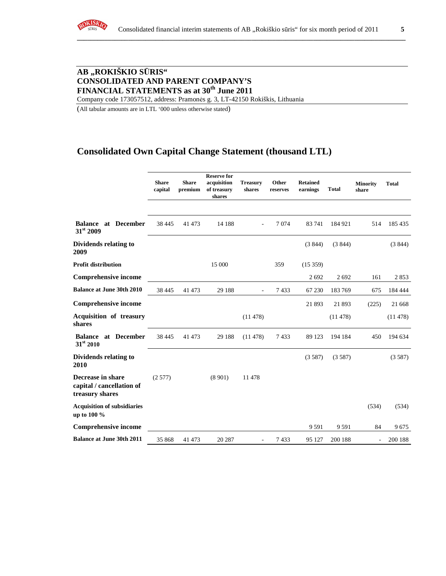

# **AB "ROKIŠKIO S**Ū**RIS" CONSOLIDATED AND PARENT COMPANY'S FINANCIAL STATEMENTS as at 30th June 2011**

Company code 173057512, address: Pramonės g. 3, LT-42150 Rokiškis, Lithuania

(All tabular amounts are in LTL '000 unless otherwise stated)

# **Consolidated Own Capital Change Statement (thousand LTL)**

|                                                                   | <b>Share</b><br>capital | <b>Share</b><br>premium | <b>Reserve for</b><br>acquisition<br>of treasury<br>shares | <b>Treasury</b><br>shares | Other<br>reserves | <b>Retained</b><br>earnings | <b>Total</b> | <b>Minority</b><br>share | <b>Total</b> |
|-------------------------------------------------------------------|-------------------------|-------------------------|------------------------------------------------------------|---------------------------|-------------------|-----------------------------|--------------|--------------------------|--------------|
| <b>Balance at December</b><br>31st 2009                           | 38 4 45                 | 41 473                  | 14 188                                                     |                           | 7074              | 83741                       | 184 921      | 514                      | 185 435      |
| Dividends relating to<br>2009                                     |                         |                         |                                                            |                           |                   | (3844)                      | (3844)       |                          | (3844)       |
| <b>Profit distribution</b>                                        |                         |                         | 15 000                                                     |                           | 359               | (15359)                     |              |                          |              |
| <b>Comprehensive income</b>                                       |                         |                         |                                                            |                           |                   | 2692                        | 2692         | 161                      | 2853         |
| <b>Balance at June 30th 2010</b>                                  | 38 4 45                 | 41 473                  | 29 188                                                     |                           | 7433              | 67 230                      | 183769       | 675                      | 184 444      |
| <b>Comprehensive income</b>                                       |                         |                         |                                                            |                           |                   | 21 893                      | 21893        | (225)                    | 21 668       |
| <b>Acquisition of treasury</b><br>shares                          |                         |                         |                                                            | (11478)                   |                   |                             | (11478)      |                          | (11478)      |
| at December<br><b>Balance</b><br>$31^{st}$ 2010                   | 38 4 45                 | 41 473                  | 29 188                                                     | (11478)                   | 7433              | 89 123                      | 194 184      | 450                      | 194 634      |
| Dividends relating to<br>2010                                     |                         |                         |                                                            |                           |                   | (3587)                      | (3587)       |                          | (3587)       |
| Decrease in share<br>capital / cancellation of<br>treasury shares | (2577)                  |                         | (8901)                                                     | 11 478                    |                   |                             |              |                          |              |
| <b>Acquisition of subsidiaries</b><br>up to 100 %                 |                         |                         |                                                            |                           |                   |                             |              | (534)                    | (534)        |
| <b>Comprehensive income</b>                                       |                         |                         |                                                            |                           |                   | 9 5 9 1                     | 9 5 9 1      | 84                       | 9675         |
| <b>Balance at June 30th 2011</b>                                  | 35 868                  | 41 473                  | 20 287                                                     |                           | 7433              | 95 127                      | 200 188      | $\overline{\phantom{m}}$ | 200 188      |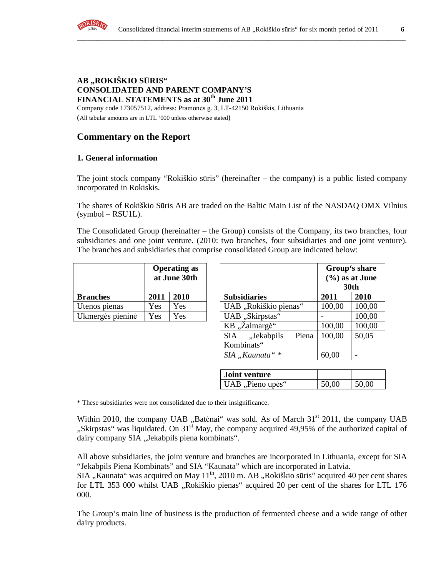# **AB "ROKIŠKIO S**Ū**RIS" CONSOLIDATED AND PARENT COMPANY'S FINANCIAL STATEMENTS as at 30th June 2011**

Company code 173057512, address: Pramonės g. 3, LT-42150 Rokiškis, Lithuania

(All tabular amounts are in LTL '000 unless otherwise stated)

# **Commentary on the Report**

# **1. General information**

The joint stock company "Rokiškio sūris" (hereinafter – the company) is a public listed company incorporated in Rokiskis.

The shares of Rokiškio Sūris AB are traded on the Baltic Main List of the NASDAQ OMX Vilnius  $(symbol - RSU1L)$ .

The Consolidated Group (hereinafter – the Group) consists of the Company, its two branches, four subsidiaries and one joint venture. (2010: two branches, four subsidiaries and one joint venture). The branches and subsidiaries that comprise consolidated Group are indicated below:

|                  | <b>Operating as</b><br>at June 30th |      |  |
|------------------|-------------------------------------|------|--|
| <b>Branches</b>  | 2011                                | 2010 |  |
| Utenos pienas    | Yes                                 | Yes  |  |
| Ukmergės pieninė | Yes                                 | Yes  |  |

|                  | <b>Operating as</b><br>at June 30th |      |  |                |                       | Group's share<br>$(\%)$ as at June<br><b>30th</b> |        |        |
|------------------|-------------------------------------|------|--|----------------|-----------------------|---------------------------------------------------|--------|--------|
| <b>Branches</b>  | 2011                                | 2010 |  |                | <b>Subsidiaries</b>   |                                                   | 2011   | 2010   |
| Utenos pienas    | Yes                                 | Yes  |  |                | UAB "Rokiškio pienas" |                                                   | 100,00 | 100,00 |
| Ukmergės pieninė | Yes                                 | Yes  |  |                | UAB "Skirpstas"       |                                                   |        | 100,00 |
|                  |                                     |      |  | KB "Žalmargė"  |                       | 100,00                                            | 100,00 |        |
|                  |                                     |      |  | <b>SIA</b>     | "Jekabpils            | Piena                                             | 100,00 | 50,05  |
|                  |                                     |      |  | Kombinats"     |                       |                                                   |        |        |
|                  |                                     |      |  | SIA "Kaunata"* |                       | 60,00                                             |        |        |

| <b>Joint venture</b> |       |       |
|----------------------|-------|-------|
| UAB, Pieno upės"     | 50,00 | 50,00 |

\* These subsidiaries were not consolidated due to their insignificance.

Within 2010, the company UAB  $\mu$ Batėnai" was sold. As of March 31<sup>st</sup> 2011, the company UAB "Skirpstas" was liquidated. On 31<sup>st</sup> May, the company acquired 49,95% of the authorized capital of dairy company SIA "Jekabpils piena kombinats".

All above subsidiaries, the joint venture and branches are incorporated in Lithuania, except for SIA "Jekabpils Piena Kombinats" and SIA "Kaunata" which are incorporated in Latvia.

SIA "Kaunata" was acquired on May  $11<sup>th</sup>$ , 2010 m. AB "Rokiškio sūris" acquired 40 per cent shares for LTL 353 000 whilst UAB "Rokiškio pienas" acquired 20 per cent of the shares for LTL 176 000.

The Group's main line of business is the production of fermented cheese and a wide range of other dairy products.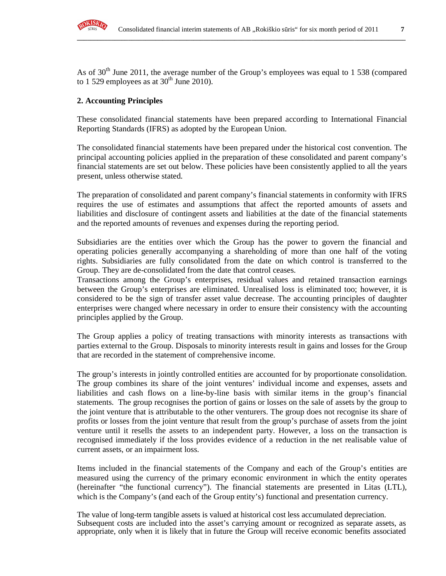

As of  $30<sup>th</sup>$  June 2011, the average number of the Group's employees was equal to 1 538 (compared to 1 529 employees as at  $30<sup>th</sup>$  June 2010).

**\_\_\_\_\_\_\_\_\_\_\_\_\_\_\_\_\_\_\_\_\_\_\_\_\_\_\_\_\_\_\_\_\_\_\_\_\_\_\_\_\_\_\_\_\_\_\_\_\_\_\_\_\_\_\_\_\_\_\_\_\_\_\_\_\_\_\_\_\_\_\_\_\_\_\_\_\_\_\_\_\_\_\_\_\_\_\_\_\_\_\_\_\_\_\_\_**

## **2. Accounting Principles**

These consolidated financial statements have been prepared according to International Financial Reporting Standards (IFRS) as adopted by the European Union.

The consolidated financial statements have been prepared under the historical cost convention. The principal accounting policies applied in the preparation of these consolidated and parent company's financial statements are set out below. These policies have been consistently applied to all the years present, unless otherwise stated.

The preparation of consolidated and parent company's financial statements in conformity with IFRS requires the use of estimates and assumptions that affect the reported amounts of assets and liabilities and disclosure of contingent assets and liabilities at the date of the financial statements and the reported amounts of revenues and expenses during the reporting period.

Subsidiaries are the entities over which the Group has the power to govern the financial and operating policies generally accompanying a shareholding of more than one half of the voting rights. Subsidiaries are fully consolidated from the date on which control is transferred to the Group. They are de-consolidated from the date that control ceases.

Transactions among the Group's enterprises, residual values and retained transaction earnings between the Group's enterprises are eliminated. Unrealised loss is eliminated too; however, it is considered to be the sign of transfer asset value decrease. The accounting principles of daughter enterprises were changed where necessary in order to ensure their consistency with the accounting principles applied by the Group.

The Group applies a policy of treating transactions with minority interests as transactions with parties external to the Group. Disposals to minority interests result in gains and losses for the Group that are recorded in the statement of comprehensive income.

The group's interests in jointly controlled entities are accounted for by proportionate consolidation. The group combines its share of the joint ventures' individual income and expenses, assets and liabilities and cash flows on a line-by-line basis with similar items in the group's financial statements. The group recognises the portion of gains or losses on the sale of assets by the group to the joint venture that is attributable to the other venturers. The group does not recognise its share of profits or losses from the joint venture that result from the group's purchase of assets from the joint venture until it resells the assets to an independent party. However, a loss on the transaction is recognised immediately if the loss provides evidence of a reduction in the net realisable value of current assets, or an impairment loss.

Items included in the financial statements of the Company and each of the Group's entities are measured using the currency of the primary economic environment in which the entity operates (hereinafter "the functional currency"). The financial statements are presented in Litas (LTL), which is the Company's (and each of the Group entity's) functional and presentation currency.

The value of long-term tangible assets is valued at historical cost less accumulated depreciation. Subsequent costs are included into the asset's carrying amount or recognized as separate assets, as appropriate, only when it is likely that in future the Group will receive economic benefits associated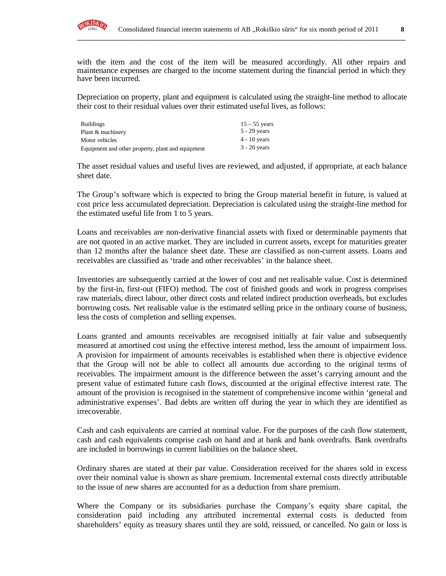

with the item and the cost of the item will be measured accordingly. All other repairs and maintenance expenses are charged to the income statement during the financial period in which they have been incurred.

**\_\_\_\_\_\_\_\_\_\_\_\_\_\_\_\_\_\_\_\_\_\_\_\_\_\_\_\_\_\_\_\_\_\_\_\_\_\_\_\_\_\_\_\_\_\_\_\_\_\_\_\_\_\_\_\_\_\_\_\_\_\_\_\_\_\_\_\_\_\_\_\_\_\_\_\_\_\_\_\_\_\_\_\_\_\_\_\_\_\_\_\_\_\_\_\_**

Depreciation on property, plant and equipment is calculated using the straight-line method to allocate their cost to their residual values over their estimated useful lives, as follows:

| <b>Buildings</b>                                  | $15 - 55$ years |
|---------------------------------------------------|-----------------|
| Plant & machinery                                 | $5 - 29$ years  |
| Motor vehicles                                    | $4 - 10$ years  |
| Equipment and other property, plant and equipment | $3 - 20$ years  |

The asset residual values and useful lives are reviewed, and adjusted, if appropriate, at each balance sheet date.

The Group's software which is expected to bring the Group material benefit in future, is valued at cost price less accumulated depreciation. Depreciation is calculated using the straight-line method for the estimated useful life from 1 to 5 years.

Loans and receivables are non-derivative financial assets with fixed or determinable payments that are not quoted in an active market. They are included in current assets, except for maturities greater than 12 months after the balance sheet date. These are classified as non-current assets. Loans and receivables are classified as 'trade and other receivables' in the balance sheet.

Inventories are subsequently carried at the lower of cost and net realisable value. Cost is determined by the first-in, first-out (FIFO) method. The cost of finished goods and work in progress comprises raw materials, direct labour, other direct costs and related indirect production overheads, but excludes borrowing costs. Net realisable value is the estimated selling price in the ordinary course of business, less the costs of completion and selling expenses.

Loans granted and amounts receivables are recognised initially at fair value and subsequently measured at amortised cost using the effective interest method, less the amount of impairment loss. A provision for impairment of amounts receivables is established when there is objective evidence that the Group will not be able to collect all amounts due according to the original terms of receivables. The impairment amount is the difference between the asset's carrying amount and the present value of estimated future cash flows, discounted at the original effective interest rate. The amount of the provision is recognised in the statement of comprehensive income within 'general and administrative expenses'. Bad debts are written off during the year in which they are identified as irrecoverable.

Cash and cash equivalents are carried at nominal value. For the purposes of the cash flow statement, cash and cash equivalents comprise cash on hand and at bank and bank overdrafts. Bank overdrafts are included in borrowings in current liabilities on the balance sheet.

Ordinary shares are stated at their par value. Consideration received for the shares sold in excess over their nominal value is shown as share premium. Incremental external costs directly attributable to the issue of new shares are accounted for as a deduction from share premium.

Where the Company or its subsidiaries purchase the Company's equity share capital, the consideration paid including any attributed incremental external costs is deducted from shareholders' equity as treasury shares until they are sold, reissued, or cancelled. No gain or loss is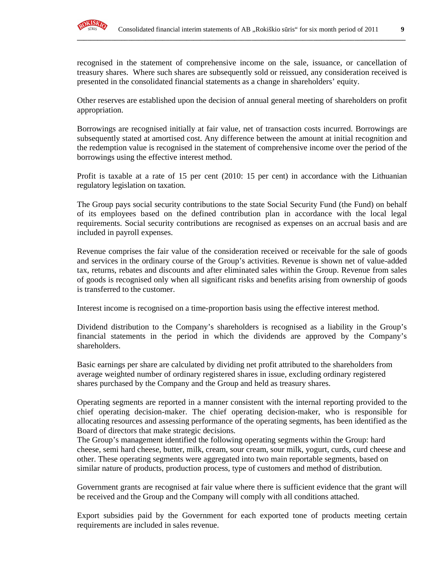

recognised in the statement of comprehensive income on the sale, issuance, or cancellation of treasury shares. Where such shares are subsequently sold or reissued, any consideration received is presented in the consolidated financial statements as a change in shareholders' equity.

**\_\_\_\_\_\_\_\_\_\_\_\_\_\_\_\_\_\_\_\_\_\_\_\_\_\_\_\_\_\_\_\_\_\_\_\_\_\_\_\_\_\_\_\_\_\_\_\_\_\_\_\_\_\_\_\_\_\_\_\_\_\_\_\_\_\_\_\_\_\_\_\_\_\_\_\_\_\_\_\_\_\_\_\_\_\_\_\_\_\_\_\_\_\_\_\_**

Other reserves are established upon the decision of annual general meeting of shareholders on profit appropriation.

Borrowings are recognised initially at fair value, net of transaction costs incurred. Borrowings are subsequently stated at amortised cost. Any difference between the amount at initial recognition and the redemption value is recognised in the statement of comprehensive income over the period of the borrowings using the effective interest method.

Profit is taxable at a rate of 15 per cent (2010: 15 per cent) in accordance with the Lithuanian regulatory legislation on taxation.

The Group pays social security contributions to the state Social Security Fund (the Fund) on behalf of its employees based on the defined contribution plan in accordance with the local legal requirements. Social security contributions are recognised as expenses on an accrual basis and are included in payroll expenses.

Revenue comprises the fair value of the consideration received or receivable for the sale of goods and services in the ordinary course of the Group's activities. Revenue is shown net of value-added tax, returns, rebates and discounts and after eliminated sales within the Group. Revenue from sales of goods is recognised only when all significant risks and benefits arising from ownership of goods is transferred to the customer.

Interest income is recognised on a time-proportion basis using the effective interest method.

Dividend distribution to the Company's shareholders is recognised as a liability in the Group's financial statements in the period in which the dividends are approved by the Company's shareholders.

Basic earnings per share are calculated by dividing net profit attributed to the shareholders from average weighted number of ordinary registered shares in issue, excluding ordinary registered shares purchased by the Company and the Group and held as treasury shares.

Operating segments are reported in a manner consistent with the internal reporting provided to the chief operating decision-maker. The chief operating decision-maker, who is responsible for allocating resources and assessing performance of the operating segments, has been identified as the Board of directors that make strategic decisions.

The Group's management identified the following operating segments within the Group: hard cheese, semi hard cheese, butter, milk, cream, sour cream, sour milk, yogurt, curds, curd cheese and other. These operating segments were aggregated into two main reportable segments, based on similar nature of products, production process, type of customers and method of distribution.

Government grants are recognised at fair value where there is sufficient evidence that the grant will be received and the Group and the Company will comply with all conditions attached.

Export subsidies paid by the Government for each exported tone of products meeting certain requirements are included in sales revenue.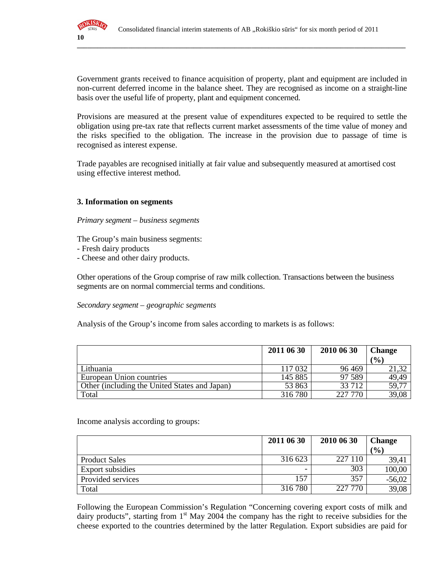

Government grants received to finance acquisition of property, plant and equipment are included in non-current deferred income in the balance sheet. They are recognised as income on a straight-line basis over the useful life of property, plant and equipment concerned.

**\_\_\_\_\_\_\_\_\_\_\_\_\_\_\_\_\_\_\_\_\_\_\_\_\_\_\_\_\_\_\_\_\_\_\_\_\_\_\_\_\_\_\_\_\_\_\_\_\_\_\_\_\_\_\_\_\_\_\_\_\_\_\_\_\_\_\_\_\_\_\_\_\_\_\_\_\_\_\_\_\_\_\_\_\_\_\_\_\_\_\_\_\_\_\_\_**

Provisions are measured at the present value of expenditures expected to be required to settle the obligation using pre-tax rate that reflects current market assessments of the time value of money and the risks specified to the obligation. The increase in the provision due to passage of time is recognised as interest expense.

Trade payables are recognised initially at fair value and subsequently measured at amortised cost using effective interest method.

#### **3. Information on segments**

#### *Primary segment – business segments*

The Group's main business segments:

- Fresh dairy products
- Cheese and other dairy products.

Other operations of the Group comprise of raw milk collection. Transactions between the business segments are on normal commercial terms and conditions.

#### *Secondary segment – geographic segments*

Analysis of the Group's income from sales according to markets is as follows:

|                                               | 2011 06 30 | 2010 06 30 | <b>Change</b> |
|-----------------------------------------------|------------|------------|---------------|
|                                               |            |            | (%)           |
| Lithuania                                     | 117 032    | 96 469     | 21,32         |
| European Union countries                      | 145 885    | 97 589     | 49,49         |
| Other (including the United States and Japan) | 53 863     | 33 712     | 59,77         |
| Total                                         | 316 780    | 227 770    | 39,08         |

Income analysis according to groups:

|                         | 2011 06 30 | 2010 06 30 | <b>Change</b> |
|-------------------------|------------|------------|---------------|
|                         |            |            | (9/0)         |
| <b>Product Sales</b>    | 316 623    | 227 110    | 39,41         |
| <b>Export subsidies</b> |            | 303        | 100,00        |
| Provided services       | 157        | 357        | $-56,02$      |
| Total                   | 316780     | 227 770    | 39,08         |

Following the European Commission's Regulation "Concerning covering export costs of milk and dairy products", starting from 1<sup>st</sup> May 2004 the company has the right to receive subsidies for the cheese exported to the countries determined by the latter Regulation. Export subsidies are paid for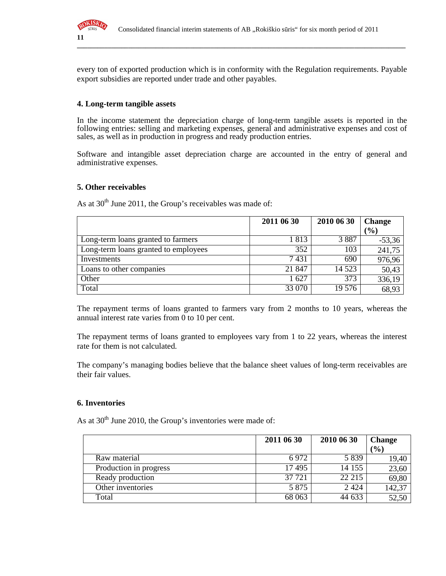

every ton of exported production which is in conformity with the Regulation requirements. Payable export subsidies are reported under trade and other payables.

**\_\_\_\_\_\_\_\_\_\_\_\_\_\_\_\_\_\_\_\_\_\_\_\_\_\_\_\_\_\_\_\_\_\_\_\_\_\_\_\_\_\_\_\_\_\_\_\_\_\_\_\_\_\_\_\_\_\_\_\_\_\_\_\_\_\_\_\_\_\_\_\_\_\_\_\_\_\_\_\_\_\_\_\_\_\_\_\_\_\_\_\_\_\_\_\_**

#### **4. Long-term tangible assets**

In the income statement the depreciation charge of long-term tangible assets is reported in the following entries: selling and marketing expenses, general and administrative expenses and cost of sales, as well as in production in progress and ready production entries.

Software and intangible asset depreciation charge are accounted in the entry of general and administrative expenses.

#### **5. Other receivables**

As at  $30<sup>th</sup>$  June 2011, the Group's receivables was made of:

|                                      | 2011 06 30 | 2010 06 30 | <b>Change</b> |
|--------------------------------------|------------|------------|---------------|
|                                      |            |            | $(\%)$        |
| Long-term loans granted to farmers   | 1813       | 3887       | $-53,36$      |
| Long-term loans granted to employees | 352        | 103        | 241,75        |
| Investments                          | 7431       | 690        | 976,96        |
| Loans to other companies             | 21 847     | 14 5 23    | 50,43         |
| Other                                | 1627       | 373        | 336,19        |
| Total                                | 33 070     | 19 576     | 68,93         |

The repayment terms of loans granted to farmers vary from 2 months to 10 years, whereas the annual interest rate varies from 0 to 10 per cent.

The repayment terms of loans granted to employees vary from 1 to 22 years, whereas the interest rate for them is not calculated.

The company's managing bodies believe that the balance sheet values of long-term receivables are their fair values.

#### **6. Inventories**

As at  $30<sup>th</sup>$  June 2010, the Group's inventories were made of:

|                        | 2011 06 30 | 2010 06 30 | <b>Change</b> |
|------------------------|------------|------------|---------------|
|                        |            |            | (9/0)         |
| Raw material           | 6972       | 5 8 3 9    | 19,40         |
| Production in progress | 17495      | 14 155     | 23,60         |
| Ready production       | 37 7 21    | 22 215     | 69,80         |
| Other inventories      | 5 8 7 5    | 2 4 2 4    | 142,37        |
| Total                  | 68 063     | 44 633     | 52,50         |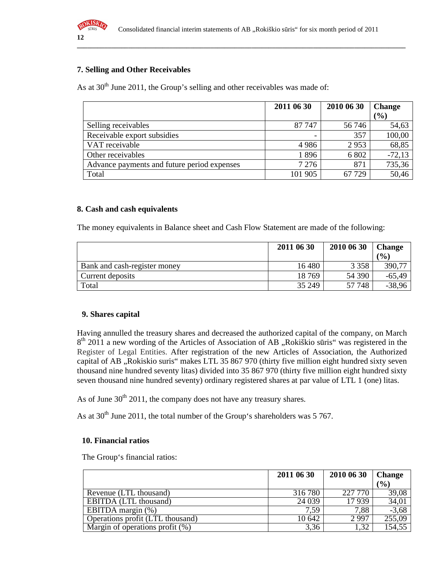

### **7. Selling and Other Receivables**

As at  $30<sup>th</sup>$  June 2011, the Group's selling and other receivables was made of:

|                                             | 2011 06 30 | 2010 06 30 | <b>Change</b> |
|---------------------------------------------|------------|------------|---------------|
|                                             |            |            | $\frac{1}{2}$ |
| Selling receivables                         | 87 747     | 56 746     | 54,63         |
| Receivable export subsidies                 |            | 357        | 100,00        |
| VAT receivable                              | 4986       | 2953       | 68,85         |
| Other receivables                           | 1896       | 6 802      | $-72,13$      |
| Advance payments and future period expenses | 7 2 7 6    | 871        | 735,36        |
| Total                                       | 101 905    | 67 729     | 50,46         |

#### **8. Cash and cash equivalents**

The money equivalents in Balance sheet and Cash Flow Statement are made of the following:

|                              | 2011 06 30 | 2010 06 30 | <b>Change</b> |
|------------------------------|------------|------------|---------------|
|                              |            |            | (0/0)         |
| Bank and cash-register money | 16 480     | 3 3 5 8    | 390,77        |
| Current deposits             | 18769      | 54 390     | $-65,49$      |
| Total                        | 35 249     | 57 748     | $-38,96$      |

#### **9. Shares capital**

Having annulled the treasury shares and decreased the authorized capital of the company, on March 8<sup>th</sup> 2011 a new wording of the Articles of Association of AB "Rokiškio sūris" was registered in the Register of Legal Entities. After registration of the new Articles of Association, the Authorized capital of AB "Rokiskio suris" makes LTL 35 867 970 (thirty five million eight hundred sixty seven thousand nine hundred seventy litas) divided into 35 867 970 (thirty five million eight hundred sixty seven thousand nine hundred seventy) ordinary registered shares at par value of LTL 1 (one) litas.

As of June  $30<sup>th</sup> 2011$ , the company does not have any treasury shares.

As at  $30<sup>th</sup>$  June 2011, the total number of the Group's shareholders was 5 767.

#### **10. Financial ratios**

The Group's financial ratios:

|                                    | 2011 06 30 | 2010 06 30 | <b>Change</b> |
|------------------------------------|------------|------------|---------------|
|                                    |            |            | (%)           |
| Revenue (LTL thousand)             | 316 780    | 227 770    | 39,08         |
| EBITDA (LTL thousand)              | 24 0 39    | 17939      | 34,01         |
| EBITDA margin (%)                  | 7.59       | 7,88       | $-3,68$       |
| Operations profit (LTL thousand)   | 10 642     | 2997       | 255,09        |
| Margin of operations profit $(\%)$ | 3,36       | 1,32       | 154,55        |